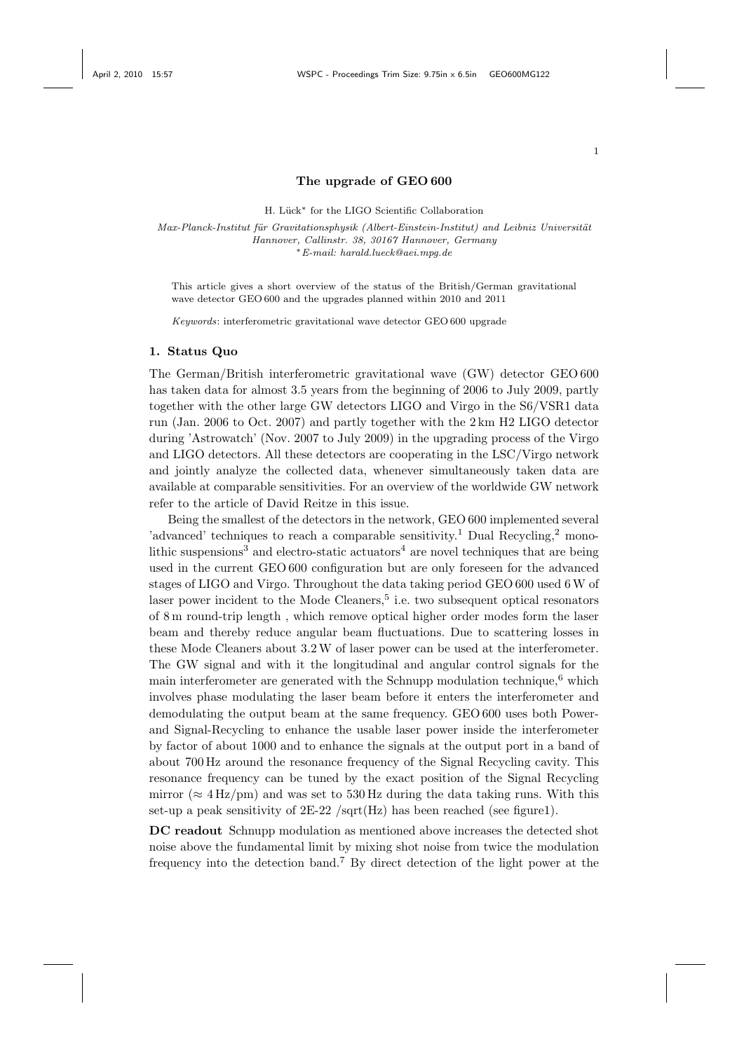#### 1

### The upgrade of GEO 600

H. Lück<sup>∗</sup> for the LIGO Scientific Collaboration

Max-Planck-Institut für Gravitationsphysik (Albert-Einstein-Institut) and Leibniz Universität Hannover, Callinstr. 38, 30167 Hannover, Germany <sup>∗</sup>E-mail: harald.lueck@aei.mpg.de

This article gives a short overview of the status of the British/German gravitational wave detector GEO 600 and the upgrades planned within 2010 and 2011

Keywords: interferometric gravitational wave detector GEO 600 upgrade

# 1. Status Quo

The German/British interferometric gravitational wave (GW) detector GEO 600 has taken data for almost 3.5 years from the beginning of 2006 to July 2009, partly together with the other large GW detectors LIGO and Virgo in the S6/VSR1 data run (Jan. 2006 to Oct. 2007) and partly together with the 2 km H2 LIGO detector during 'Astrowatch' (Nov. 2007 to July 2009) in the upgrading process of the Virgo and LIGO detectors. All these detectors are cooperating in the LSC/Virgo network and jointly analyze the collected data, whenever simultaneously taken data are available at comparable sensitivities. For an overview of the worldwide GW network refer to the article of David Reitze in this issue.

Being the smallest of the detectors in the network, GEO 600 implemented several 'advanced' techniques to reach a comparable sensitivity.<sup>1</sup> Dual Recycling,<sup>2</sup> monolithic suspensions<sup>3</sup> and electro-static actuators<sup>4</sup> are novel techniques that are being used in the current GEO 600 configuration but are only foreseen for the advanced stages of LIGO and Virgo. Throughout the data taking period GEO 600 used 6W of laser power incident to the Mode Cleaners,<sup>5</sup> i.e. two subsequent optical resonators of 8 m round-trip length , which remove optical higher order modes form the laser beam and thereby reduce angular beam fluctuations. Due to scattering losses in these Mode Cleaners about 3.2W of laser power can be used at the interferometer. The GW signal and with it the longitudinal and angular control signals for the main interferometer are generated with the Schnupp modulation technique, $6$  which involves phase modulating the laser beam before it enters the interferometer and demodulating the output beam at the same frequency. GEO 600 uses both Powerand Signal-Recycling to enhance the usable laser power inside the interferometer by factor of about 1000 and to enhance the signals at the output port in a band of about 700 Hz around the resonance frequency of the Signal Recycling cavity. This resonance frequency can be tuned by the exact position of the Signal Recycling mirror ( $\approx 4$  Hz/pm) and was set to 530 Hz during the data taking runs. With this set-up a peak sensitivity of  $2E-22$  /sqrt(Hz) has been reached (see figure1).

DC readout Schnupp modulation as mentioned above increases the detected shot noise above the fundamental limit by mixing shot noise from twice the modulation frequency into the detection band.<sup>7</sup> By direct detection of the light power at the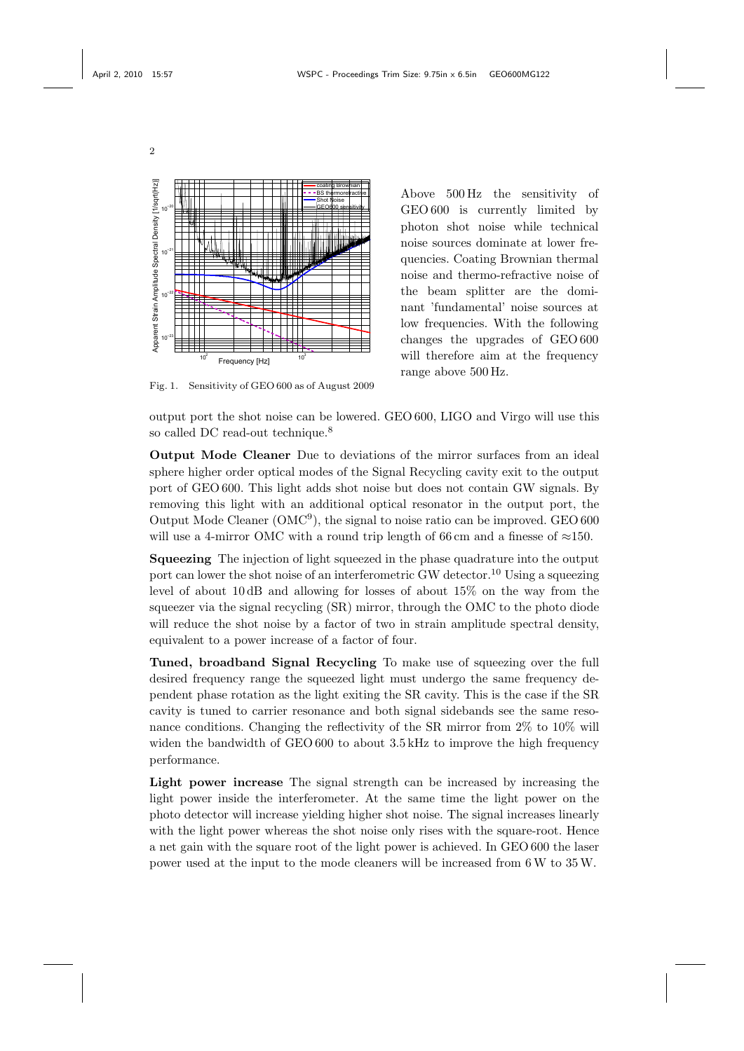2



Fig. 1. Sensitivity of GEO 600 as of August 2009

Above 500 Hz the sensitivity of GEO 600 is currently limited by photon shot noise while technical noise sources dominate at lower frequencies. Coating Brownian thermal noise and thermo-refractive noise of the beam splitter are the dominant 'fundamental' noise sources at low frequencies. With the following changes the upgrades of GEO 600 will therefore aim at the frequency range above 500 Hz.

output port the shot noise can be lowered. GEO 600, LIGO and Virgo will use this so called DC read-out technique.<sup>8</sup>

Output Mode Cleaner Due to deviations of the mirror surfaces from an ideal sphere higher order optical modes of the Signal Recycling cavity exit to the output port of GEO 600. This light adds shot noise but does not contain GW signals. By removing this light with an additional optical resonator in the output port, the Output Mode Cleaner (OMC<sup>9</sup> ), the signal to noise ratio can be improved. GEO 600 will use a 4-mirror OMC with a round trip length of 66 cm and a finesse of  $\approx$ 150.

Squeezing The injection of light squeezed in the phase quadrature into the output port can lower the shot noise of an interferometric GW detector.<sup>10</sup> Using a squeezing level of about 10 dB and allowing for losses of about 15% on the way from the squeezer via the signal recycling (SR) mirror, through the OMC to the photo diode will reduce the shot noise by a factor of two in strain amplitude spectral density, equivalent to a power increase of a factor of four.

Tuned, broadband Signal Recycling To make use of squeezing over the full desired frequency range the squeezed light must undergo the same frequency dependent phase rotation as the light exiting the SR cavity. This is the case if the SR cavity is tuned to carrier resonance and both signal sidebands see the same resonance conditions. Changing the reflectivity of the SR mirror from 2% to 10% will widen the bandwidth of GEO 600 to about 3.5 kHz to improve the high frequency performance.

Light power increase The signal strength can be increased by increasing the light power inside the interferometer. At the same time the light power on the photo detector will increase yielding higher shot noise. The signal increases linearly with the light power whereas the shot noise only rises with the square-root. Hence a net gain with the square root of the light power is achieved. In GEO 600 the laser power used at the input to the mode cleaners will be increased from 6W to 35W.